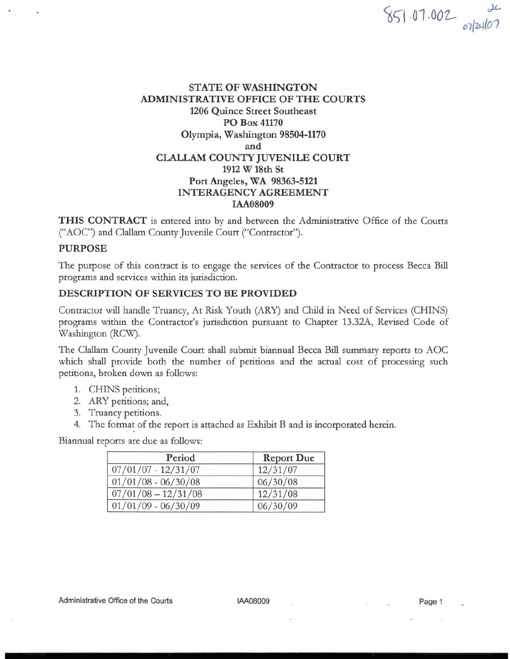# $851.07.002$  orlallor

## STATE OF WASHINGTON ADMINISTRATIVE OFFICE OF THE COURTS 1206 Quince Street Southeast PO Box 41170 Olympia, Washington 98504-1170 and CLALLAM COUNTY JUVENILE COURT 1912 W 18th St Port Angeles, WA 98363-5121 INTERAGENCY AGREEMENT IAA08009

THIS CONTRACT is entered into by and between the Administrative Office of the Courts ('AOC") and Clallarn County Juvenile Court ("Contractor").

#### PURPOSE

The purpose of this contract is to engage the services of the Contractor to process Becca **Bill**  programs and services within its jurisdiction.

#### DESCRIPTION OF SERVICES TO BE PROVIDED

Contractor will handle Truancy, At Risk Youth (ARY) and Child in Need of Services (CHINS) programs within the Contractor's jurisdiction pursuant to Chapter 13.32A, Revised Code of Washington (RCW).

The Clallam County Juvenile Court shall submit biannual Becca **Bill** summary reports to AOC which shall provide both the number of petitions and the actual cost of processing such petitions, broken down as follows:

- 1. CHINS petitions;
- 2. ARY petitions; and,
- 3. Truancy petitions.
- 4. The format of the report is attached as Exhibit B and is incorporated herein.

Biannual reports are due as follows:

| Period                | <b>Report Due</b> |
|-----------------------|-------------------|
| $07/01/07 - 12/31/07$ | 12/31/07          |
| $01/01/08 - 06/30/08$ | 06/30/08          |
| $07/01/08 - 12/31/08$ | 12/31/08          |
| $01/01/09 - 06/30/09$ | 06/30/09          |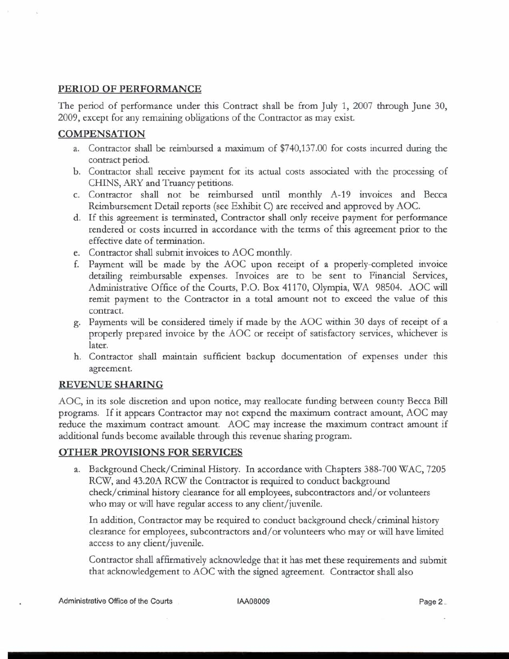## **PERIOD OF PERFORMANCE**

The period of performance under this Contract shall be from July 1, 2007 through June 30, 2009, except for any remaining obligations of the Contractor as may exist.

## **COMPENSATION**

- a. Contractor shall be reimbursed a maximum of \$740,137.00 for costs incurred during the contract period.
- b. Contractor shall receive payment for its actual costs associated with the processing of CHINS, **ARY** and Truancy petitions.
- c. Contractor shall not be reimbursed untd monthly A-19 invoices and Becca Reimbursement Detail reports (see Exhibit C) are received and approved by AOC.
- d. If this agreement is terminated, Contractor shall only receive payment for performance rendered or costs incurred in accordance with the terms of this agreement prior to the effective date of termination.
- e. Contractor shall submit invoices to AOC monthly.
- f. Payment will be made by the AOC upon receipt of a properly-completed invoice detailing reimbursable expenses. Invoices are to be sent to Financial Services, Administrative Office of the Courts, P.O. Box 41 170, Olympia, WA 98504. AOC will remit payment to the Contractor in a total amount not to exceed the value of this contract.
- g. Payments will be considered timely if made by the AOC within **30** days of receipt of a properly prepared invoice by the AOC or receipt of satisfactory services, whichever is later.
- h. Contractor shall maintain sufficient backup documentation of expenses under this agreement.

## **REVENUE SHARING**

AOC, in its sole discretion and upon notice, may reallocate fundmg between county Becca Bill programs. If it appears Contractor may not expend the maximum contract amount, AOC may reduce the maximum contract amount. AOC may increase the maximum contract amount if additional funds become available through this revenue sharing program.

## **OTHER PROVISIONS FOR SERVICES**

a. Background Check/Criminal History. In accordance with Chapters 388-700 WAC, 7205 RCW, and 43.20A RCW the Contractor is required to conduct background check/criminal history clearance for all employees, subcontractors and/or volunteers who may or will have regular access to any client/juvenile.

In addition, Contractor may be required to conduct background check/criminal history clearance for employees, subcontractors and/or volunteers who may or will have limited access to any client/juvenile.

Contractor shall affirmatively acknowledge that it has met these requirements and submit that acknowledgement to AOC with the signed agreement. Contractor shall also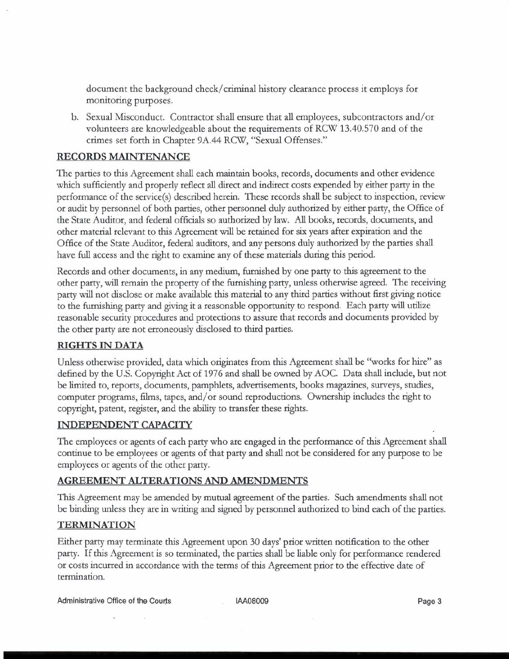document the background check/criminal history clearance process it employs for monitoring purposes.

b. Sexual Misconduct. Contractor shall ensure that all employees, subcontractors and/or volunteers are knowledgeable about the requirements of RCW 13.40.570 and of the crimes set forth in Chapter 9A.44 RCW, "Sexual Offenses."

# **RECORDS MAINTENANCE**

The parties to this Agreement shall each maintain books, records, documents and other evidence which sufficiently and properly reflect all direct and indirect costs expended by either party in the performance of the service(s) described herein. These records shall be subject to inspection, review or audit by personnel of both parties, other personnel duly authorized by either party, the Office of the State Audtor, and federal officials so authorized by law. All books, records, documents, and other material relevant to thts Agreement wdl be retained for six years after expiration and the Office of the State Auditor, federal auditors, and any persons duly authorized by the parties shall have full access and the right to examine any of these materials during this period.

Records and other documents, in any medium, furnished by one party to this agreement to the other party, wdl remain the property of the furnishing party, unless otherwise agreed. The receiving party will not disclose or make available this material to any third parties without first giving notice to the furnishing party and giving it a reasonable opportunity to respond. Each party wdl utilize reasonable security procedures and protections to assure that records and documents provided by the other party are not erroneously disclosed to third parties.

# **RIGHTS IN DATA**

Unless otherwise provided, data which originates from this Agreement shall be "works for hire" as defined by the U.S. Copyright Act of 1976 and shall be owned by AOC. Data shall include, but not be limited to, reports, documents, pamphlets, advertisements, books magazines, surveys, studies, computer programs, films, tapes, and/or sound reproductions. Ownership includes the right to copyright, patent, register, and the ability to transfer these rights.

## **INDEPENDENT CAPACITY**

The employees or agents of each party who are engaged in the performance of this Agreement shall continue to be employees or agents of that party and shall not be considered for any purpose to be employees or agents of the other party.

## **AGREEMENT ALTERATIONS AND AMENDMENTS**

This Agreement may be amended by mutual agreement of the parties. Such amendments shall not be binding unless they are in writing and signed by personnel authorized to bind each of the parties.

## **TERMINATION**

Either party may terminate thts Agreement upon 30 days' prior written notification to the other party. If this Agreement is so terminated, the parties shall be liable only for performance rendered or costs incurred in accordance with the terms of this Agreement prior to the effective date of termination.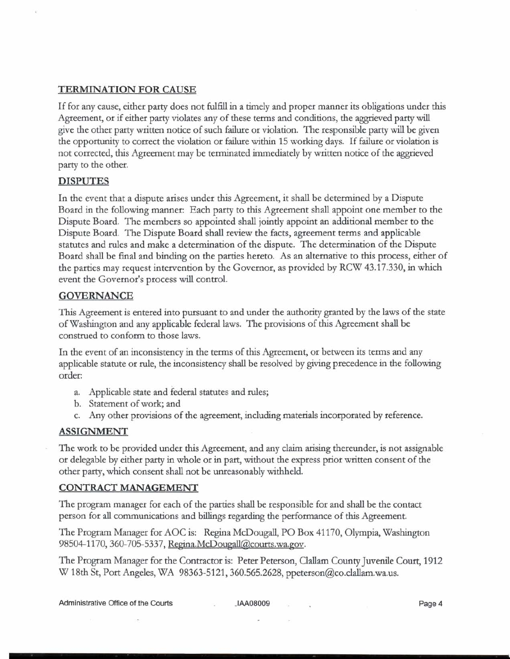#### **TERMINATION FOR CAUSE**

If for any cause, either party does not fulfill in a timely and proper manner its obligations under this Agreement, or if either party violates any of these terms and conditions, the aggrieved party will give the other party written notice of such failure or violation. The responsible party will be given the opportunity to correct the violation or failure within 15 working days. If failure or violation is not corrected, this Agreement may be terminated immediately by written notice of the aggrieved party to the other.

#### **DISPUTES**

In the event that a dispute arises under this Agreement, it shall be determined by a Dispute Board in the following manner: Each party to this Agreement shall appoint one member to the Dispute Board. The members so appointed shall jointly appoint an additional member to the Dispute Board. The Dispute Board shall review the facts, agreement terms and applicable statutes and rules and make a determination of the dispute. The determination of the Dispute Board shall be final and binding on the parties hereto. As an alternative to this process, either of the parties may request intervention by the Governor, as provided by RCW 43.17.330, in which event the Governor's process will control.

#### **GOVERNANCE**

This Agreement is entered into pursuant to and under the authority granted by the laws of the state of Washington and any applicable federal laws. The provisions of this Agreement shall be construed to conform to those laws.

In the event of an inconsistency in the terms of this Agreement, or between its terms and any applicable statute or rule, the inconsistency shall be resolved by giving precedence in the following order:

- a. Applicable state and federal statutes and rules;
- b. Statement of work; and
- c. Any other provisions of the agreement, including materials incorporated by reference.

#### **ASSIGNMENT**

The work to be provided under this Agreement, and any claim arising thereunder, is not assignable or delegable by either party in whole or in **part,** without the express prior written consent of the other party, which consent shall not be unreasonably withheld.

#### **CONTRACT MANAGEMENT**

The program manager for each of the parties shall be responsible for and shall be the contact person for **all** communications and billings regarding the performance of this Agreement.

The Program Manager for AOC is: Regina McDougall, PO Box 41170, Olympia, Washington 98504-1170, 360-705-5337, Regina.McDougall@courts.wa.gov.

The Program Manager for the Contractor is: Peter Peterson, Clallarn County Juvenile Court, 1912 W 18th St, Port Angeles, WA 98363-5121, 360.565.2628, ppeterson@co.clallam.wa.us.